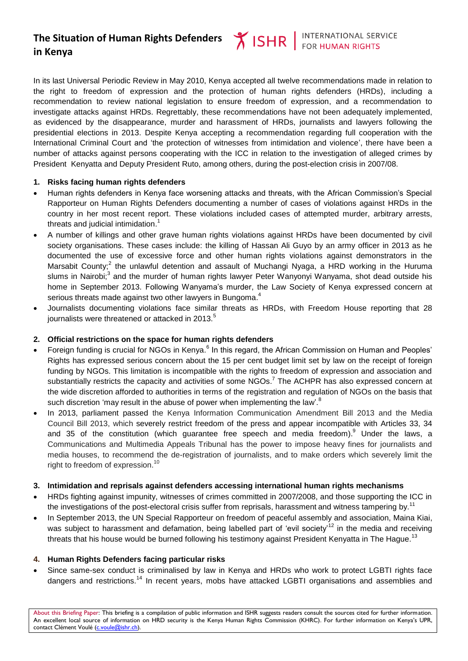# **The Situation of Human Rights Defenders in Kenya**

In its last Universal Periodic Review in May 2010, Kenya accepted all twelve recommendations made in relation to the right to freedom of expression and the protection of human rights defenders (HRDs), including a recommendation to review national legislation to ensure freedom of expression, and a recommendation to investigate attacks against HRDs. Regrettably, these recommendations have not been adequately implemented, as evidenced by the disappearance, murder and harassment of HRDs, journalists and lawyers following the presidential elections in 2013. Despite Kenya accepting a recommendation regarding full cooperation with the International Criminal Court and 'the protection of witnesses from intimidation and violence', there have been a number of attacks against persons cooperating with the ICC in relation to the investigation of alleged crimes by President Kenyatta and Deputy President Ruto, among others, during the post-election crisis in 2007/08.

#### **1. Risks facing human rights defenders**

- Human rights defenders in Kenya face worsening attacks and threats, with the African Commission's Special Rapporteur on Human Rights Defenders documenting a number of cases of violations against HRDs in the country in her most recent report. These violations included cases of attempted murder, arbitrary arrests, threats and judicial intimidation.<sup>1</sup>
- A number of killings and other grave human rights violations against HRDs have been documented by civil society organisations. These cases include: the killing of Hassan Ali Guyo by an army officer in 2013 as he documented the use of excessive force and other human rights violations against demonstrators in the Marsabit County;<sup>2</sup> the unlawful detention and assault of Muchangi Nyaga, a HRD working in the Huruma slums in Nairobi;<sup>3</sup> and the murder of human rights lawyer Peter Wanyonyi Wanyama, shot dead outside his home in September 2013. Following Wanyama's murder, the Law Society of Kenya expressed concern at serious threats made against two other lawyers in Bungoma.<sup>4</sup>
- Journalists documenting violations face similar threats as HRDs, with Freedom House reporting that 28 journalists were threatened or attacked in 2013.<sup>5</sup>

## **2. Official restrictions on the space for human rights defenders**

- Foreign funding is crucial for NGOs in Kenya.<sup>6</sup> In this regard, the African Commission on Human and Peoples' Rights has expressed serious concern about the 15 per cent budget limit set by law on the receipt of foreign funding by NGOs. This limitation is incompatible with the rights to freedom of expression and association and substantially restricts the capacity and activities of some NGOs.<sup>7</sup> The ACHPR has also expressed concern at the wide discretion afforded to authorities in terms of the registration and regulation of NGOs on the basis that such discretion 'may result in the abuse of power when implementing the law'.<sup>8</sup>
- In 2013, parliament passed the Kenya Information Communication Amendment Bill 2013 and the Media Council Bill 2013, which severely restrict freedom of the press and appear incompatible with Articles 33, 34 and 35 of the constitution (which guarantee free speech and media freedom). Under the laws, a Communications and Multimedia Appeals Tribunal has the power to impose heavy fines for journalists and media houses, to recommend the de-registration of journalists, and to make orders which severely limit the right to freedom of expression.<sup>10</sup>

#### **3. Intimidation and reprisals against defenders accessing international human rights mechanisms**

- HRDs fighting against impunity, witnesses of crimes committed in 2007/2008, and those supporting the ICC in the investigations of the post-electoral crisis suffer from reprisals, harassment and witness tampering by.<sup>11</sup>
- In September 2013, the UN Special Rapporteur on freedom of peaceful assembly and association, Maina Kiai, was subject to harassment and defamation, being labelled part of 'evil society<sup>12</sup> in the media and receiving threats that his house would be burned following his testimony against President Kenyatta in The Hague.<sup>13</sup>

#### **4. Human Rights Defenders facing particular risks**

 Since same-sex conduct is criminalised by law in Kenya and HRDs who work to protect LGBTI rights face dangers and restrictions.<sup>14</sup> In recent years, mobs have attacked LGBTI organisations and assemblies and

About this Briefing Paper: This briefing is a compilation of public information and ISHR suggests readers consult the sources cited for further information. An excellent local source of information on HRD security is the Kenya Human Rights Commission (KHRC). For further information on Kenya's UPR, contact Clément Voulé [\(c.voule@ishr.ch\)](mailto:c.voule@ishr.ch).